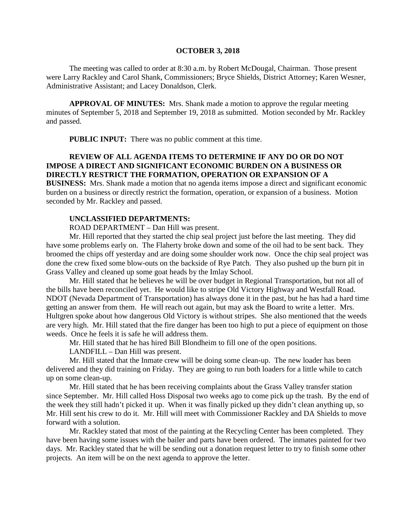#### **OCTOBER 3, 2018**

The meeting was called to order at 8:30 a.m. by Robert McDougal, Chairman. Those present were Larry Rackley and Carol Shank, Commissioners; Bryce Shields, District Attorney; Karen Wesner, Administrative Assistant; and Lacey Donaldson, Clerk.

**APPROVAL OF MINUTES:** Mrs. Shank made a motion to approve the regular meeting minutes of September 5, 2018 and September 19, 2018 as submitted. Motion seconded by Mr. Rackley and passed.

 **PUBLIC INPUT:** There was no public comment at this time.

## **REVIEW OF ALL AGENDA ITEMS TO DETERMINE IF ANY DO OR DO NOT IMPOSE A DIRECT AND SIGNIFICANT ECONOMIC BURDEN ON A BUSINESS OR DIRECTLY RESTRICT THE FORMATION, OPERATION OR EXPANSION OF A**

**BUSINESS:** Mrs. Shank made a motion that no agenda items impose a direct and significant economic burden on a business or directly restrict the formation, operation, or expansion of a business. Motion seconded by Mr. Rackley and passed.

#### **UNCLASSIFIED DEPARTMENTS:**

ROAD DEPARTMENT – Dan Hill was present.

Mr. Hill reported that they started the chip seal project just before the last meeting. They did have some problems early on. The Flaherty broke down and some of the oil had to be sent back. They broomed the chips off yesterday and are doing some shoulder work now. Once the chip seal project was done the crew fixed some blow-outs on the backside of Rye Patch. They also pushed up the burn pit in Grass Valley and cleaned up some goat heads by the Imlay School.

Mr. Hill stated that he believes he will be over budget in Regional Transportation, but not all of the bills have been reconciled yet. He would like to stripe Old Victory Highway and Westfall Road. NDOT (Nevada Department of Transportation) has always done it in the past, but he has had a hard time getting an answer from them. He will reach out again, but may ask the Board to write a letter. Mrs. Hultgren spoke about how dangerous Old Victory is without stripes. She also mentioned that the weeds are very high. Mr. Hill stated that the fire danger has been too high to put a piece of equipment on those weeds. Once he feels it is safe he will address them.

Mr. Hill stated that he has hired Bill Blondheim to fill one of the open positions.

LANDFILL – Dan Hill was present.

Mr. Hill stated that the Inmate crew will be doing some clean-up. The new loader has been delivered and they did training on Friday. They are going to run both loaders for a little while to catch up on some clean-up.

Mr. Hill stated that he has been receiving complaints about the Grass Valley transfer station since September. Mr. Hill called Hoss Disposal two weeks ago to come pick up the trash. By the end of the week they still hadn't picked it up. When it was finally picked up they didn't clean anything up, so Mr. Hill sent his crew to do it. Mr. Hill will meet with Commissioner Rackley and DA Shields to move forward with a solution.

Mr. Rackley stated that most of the painting at the Recycling Center has been completed. They have been having some issues with the bailer and parts have been ordered. The inmates painted for two days. Mr. Rackley stated that he will be sending out a donation request letter to try to finish some other projects. An item will be on the next agenda to approve the letter.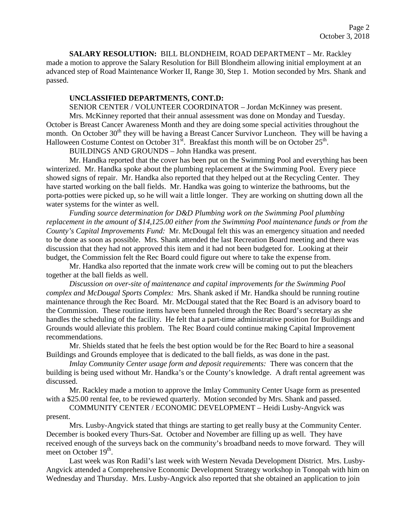**SALARY RESOLUTION:** BILL BLONDHEIM, ROAD DEPARTMENT – Mr. Rackley made a motion to approve the Salary Resolution for Bill Blondheim allowing initial employment at an advanced step of Road Maintenance Worker II, Range 30, Step 1. Motion seconded by Mrs. Shank and passed.

#### **UNCLASSIFIED DEPARTMENTS, CONT.D:**

SENIOR CENTER / VOLUNTEER COORDINATOR – Jordan McKinney was present.

Mrs. McKinney reported that their annual assessment was done on Monday and Tuesday. October is Breast Cancer Awareness Month and they are doing some special activities throughout the month. On October 30<sup>th</sup> they will be having a Breast Cancer Survivor Luncheon. They will be having a Halloween Costume Contest on October 31<sup>st</sup>. Breakfast this month will be on October 25<sup>th</sup>.

BUILDINGS AND GROUNDS – John Handka was present.

Mr. Handka reported that the cover has been put on the Swimming Pool and everything has been winterized. Mr. Handka spoke about the plumbing replacement at the Swimming Pool. Every piece showed signs of repair. Mr. Handka also reported that they helped out at the Recycling Center. They have started working on the ball fields. Mr. Handka was going to winterize the bathrooms, but the porta-potties were picked up, so he will wait a little longer. They are working on shutting down all the water systems for the winter as well.

*Funding source determination for D&D Plumbing work on the Swimming Pool plumbing replacement in the amount of \$14,125.00 either from the Swimming Pool maintenance funds or from the County's Capital Improvements Fund:* Mr. McDougal felt this was an emergency situation and needed to be done as soon as possible. Mrs. Shank attended the last Recreation Board meeting and there was discussion that they had not approved this item and it had not been budgeted for. Looking at their budget, the Commission felt the Rec Board could figure out where to take the expense from.

Mr. Handka also reported that the inmate work crew will be coming out to put the bleachers together at the ball fields as well.

*Discussion on over-site of maintenance and capital improvements for the Swimming Pool complex and McDougal Sports Complex:* Mrs. Shank asked if Mr. Handka should be running routine maintenance through the Rec Board. Mr. McDougal stated that the Rec Board is an advisory board to the Commission. These routine items have been funneled through the Rec Board's secretary as she handles the scheduling of the facility. He felt that a part-time administrative position for Buildings and Grounds would alleviate this problem. The Rec Board could continue making Capital Improvement recommendations.

Mr. Shields stated that he feels the best option would be for the Rec Board to hire a seasonal Buildings and Grounds employee that is dedicated to the ball fields, as was done in the past.

*Imlay Community Center usage form and deposit requirements:* There was concern that the building is being used without Mr. Handka's or the County's knowledge. A draft rental agreement was discussed.

Mr. Rackley made a motion to approve the Imlay Community Center Usage form as presented with a \$25.00 rental fee, to be reviewed quarterly. Motion seconded by Mrs. Shank and passed.

COMMUNITY CENTER / ECONOMIC DEVELOPMENT – Heidi Lusby-Angvick was present.

Mrs. Lusby-Angvick stated that things are starting to get really busy at the Community Center. December is booked every Thurs-Sat. October and November are filling up as well. They have received enough of the surveys back on the community's broadband needs to move forward. They will meet on October  $19<sup>th</sup>$ .

Last week was Ron Radil's last week with Western Nevada Development District. Mrs. Lusby-Angvick attended a Comprehensive Economic Development Strategy workshop in Tonopah with him on Wednesday and Thursday. Mrs. Lusby-Angvick also reported that she obtained an application to join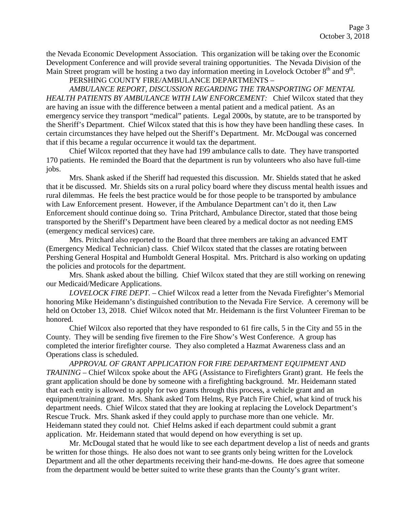the Nevada Economic Development Association. This organization will be taking over the Economic Development Conference and will provide several training opportunities. The Nevada Division of the Main Street program will be hosting a two day information meeting in Lovelock October  $8<sup>th</sup>$  and  $9<sup>th</sup>$ .

PERSHING COUNTY FIRE/AMBULANCE DEPARTMENTS –

*AMBULANCE REPORT, DISCUSSION REGARDING THE TRANSPORTING OF MENTAL HEALTH PATIENTS BY AMBULANCE WITH LAW ENFORCEMENT:* Chief Wilcox stated that they are having an issue with the difference between a mental patient and a medical patient. As an emergency service they transport "medical" patients. Legal 2000s, by statute, are to be transported by the Sheriff's Department. Chief Wilcox stated that this is how they have been handling these cases. In certain circumstances they have helped out the Sheriff's Department. Mr. McDougal was concerned that if this became a regular occurrence it would tax the department.

Chief Wilcox reported that they have had 199 ambulance calls to date. They have transported 170 patients. He reminded the Board that the department is run by volunteers who also have full-time jobs.

Mrs. Shank asked if the Sheriff had requested this discussion. Mr. Shields stated that he asked that it be discussed. Mr. Shields sits on a rural policy board where they discuss mental health issues and rural dilemmas. He feels the best practice would be for those people to be transported by ambulance with Law Enforcement present. However, if the Ambulance Department can't do it, then Law Enforcement should continue doing so. Trina Pritchard, Ambulance Director, stated that those being transported by the Sheriff's Department have been cleared by a medical doctor as not needing EMS (emergency medical services) care.

Mrs. Pritchard also reported to the Board that three members are taking an advanced EMT (Emergency Medical Technician) class. Chief Wilcox stated that the classes are rotating between Pershing General Hospital and Humboldt General Hospital. Mrs. Pritchard is also working on updating the policies and protocols for the department.

Mrs. Shank asked about the billing. Chief Wilcox stated that they are still working on renewing our Medicaid/Medicare Applications.

*LOVELOCK FIRE DEPT.* – Chief Wilcox read a letter from the Nevada Firefighter's Memorial honoring Mike Heidemann's distinguished contribution to the Nevada Fire Service. A ceremony will be held on October 13, 2018. Chief Wilcox noted that Mr. Heidemann is the first Volunteer Fireman to be honored.

Chief Wilcox also reported that they have responded to 61 fire calls, 5 in the City and 55 in the County. They will be sending five firemen to the Fire Show's West Conference. A group has completed the interior firefighter course. They also completed a Hazmat Awareness class and an Operations class is scheduled.

*APPROVAL OF GRANT APPLICATION FOR FIRE DEPARTMENT EQUIPMENT AND TRAINING* – Chief Wilcox spoke about the AFG (Assistance to Firefighters Grant) grant. He feels the grant application should be done by someone with a firefighting background. Mr. Heidemann stated that each entity is allowed to apply for two grants through this process, a vehicle grant and an equipment/training grant. Mrs. Shank asked Tom Helms, Rye Patch Fire Chief, what kind of truck his department needs. Chief Wilcox stated that they are looking at replacing the Lovelock Department's Rescue Truck. Mrs. Shank asked if they could apply to purchase more than one vehicle. Mr. Heidemann stated they could not. Chief Helms asked if each department could submit a grant application. Mr. Heidemann stated that would depend on how everything is set up.

Mr. McDougal stated that he would like to see each department develop a list of needs and grants be written for those things. He also does not want to see grants only being written for the Lovelock Department and all the other departments receiving their hand-me-downs. He does agree that someone from the department would be better suited to write these grants than the County's grant writer.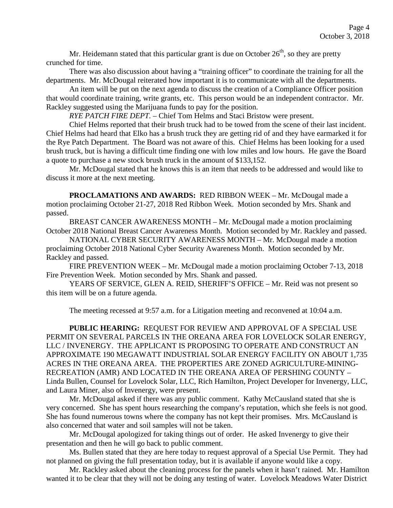Mr. Heidemann stated that this particular grant is due on October  $26<sup>th</sup>$ , so they are pretty crunched for time.

There was also discussion about having a "training officer" to coordinate the training for all the departments. Mr. McDougal reiterated how important it is to communicate with all the departments.

An item will be put on the next agenda to discuss the creation of a Compliance Officer position that would coordinate training, write grants, etc. This person would be an independent contractor. Mr. Rackley suggested using the Marijuana funds to pay for the position.

*RYE PATCH FIRE DEPT. –* Chief Tom Helms and Staci Bristow were present.

Chief Helms reported that their brush truck had to be towed from the scene of their last incident. Chief Helms had heard that Elko has a brush truck they are getting rid of and they have earmarked it for the Rye Patch Department. The Board was not aware of this. Chief Helms has been looking for a used brush truck, but is having a difficult time finding one with low miles and low hours. He gave the Board a quote to purchase a new stock brush truck in the amount of \$133,152.

Mr. McDougal stated that he knows this is an item that needs to be addressed and would like to discuss it more at the next meeting.

**PROCLAMATIONS AND AWARDS:** RED RIBBON WEEK – Mr. McDougal made a motion proclaiming October 21-27, 2018 Red Ribbon Week. Motion seconded by Mrs. Shank and passed.

BREAST CANCER AWARENESS MONTH – Mr. McDougal made a motion proclaiming October 2018 National Breast Cancer Awareness Month. Motion seconded by Mr. Rackley and passed.

NATIONAL CYBER SECURITY AWARENESS MONTH – Mr. McDougal made a motion proclaiming October 2018 National Cyber Security Awareness Month. Motion seconded by Mr. Rackley and passed.

FIRE PREVENTION WEEK – Mr. McDougal made a motion proclaiming October 7-13, 2018 Fire Prevention Week. Motion seconded by Mrs. Shank and passed.

YEARS OF SERVICE, GLEN A. REID, SHERIFF'S OFFICE – Mr. Reid was not present so this item will be on a future agenda.

The meeting recessed at 9:57 a.m. for a Litigation meeting and reconvened at 10:04 a.m.

**PUBLIC HEARING:** REQUEST FOR REVIEW AND APPROVAL OF A SPECIAL USE PERMIT ON SEVERAL PARCELS IN THE OREANA AREA FOR LOVELOCK SOLAR ENERGY, LLC / INVENERGY. THE APPLICANT IS PROPOSING TO OPERATE AND CONSTRUCT AN APPROXIMATE 190 MEGAWATT INDUSTRIAL SOLAR ENERGY FACILITY ON ABOUT 1,735 ACRES IN THE OREANA AREA. THE PROPERTIES ARE ZONED AGRICULTURE-MINING-RECREATION (AMR) AND LOCATED IN THE OREANA AREA OF PERSHING COUNTY – Linda Bullen, Counsel for Lovelock Solar, LLC, Rich Hamilton, Project Developer for Invenergy, LLC, and Laura Miner, also of Invenergy, were present.

Mr. McDougal asked if there was any public comment. Kathy McCausland stated that she is very concerned. She has spent hours researching the company's reputation, which she feels is not good. She has found numerous towns where the company has not kept their promises. Mrs. McCausland is also concerned that water and soil samples will not be taken.

Mr. McDougal apologized for taking things out of order. He asked Invenergy to give their presentation and then he will go back to public comment.

Ms. Bullen stated that they are here today to request approval of a Special Use Permit. They had not planned on giving the full presentation today, but it is available if anyone would like a copy.

Mr. Rackley asked about the cleaning process for the panels when it hasn't rained. Mr. Hamilton wanted it to be clear that they will not be doing any testing of water. Lovelock Meadows Water District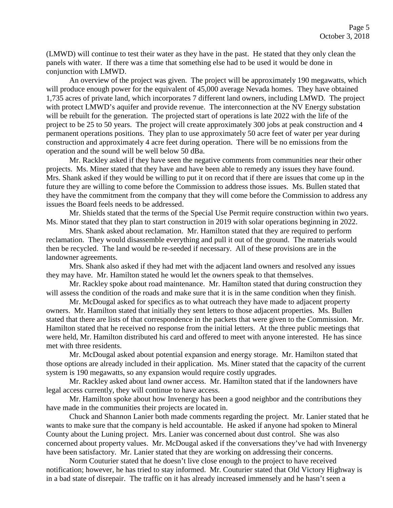(LMWD) will continue to test their water as they have in the past. He stated that they only clean the panels with water. If there was a time that something else had to be used it would be done in conjunction with LMWD.

An overview of the project was given. The project will be approximately 190 megawatts, which will produce enough power for the equivalent of 45,000 average Nevada homes. They have obtained 1,735 acres of private land, which incorporates 7 different land owners, including LMWD. The project with protect LMWD's aquifer and provide revenue. The interconnection at the NV Energy substation will be rebuilt for the generation. The projected start of operations is late 2022 with the life of the project to be 25 to 50 years. The project will create approximately 300 jobs at peak construction and 4 permanent operations positions. They plan to use approximately 50 acre feet of water per year during construction and approximately 4 acre feet during operation. There will be no emissions from the operation and the sound will be well below 50 dBa.

Mr. Rackley asked if they have seen the negative comments from communities near their other projects. Ms. Miner stated that they have and have been able to remedy any issues they have found. Mrs. Shank asked if they would be willing to put it on record that if there are issues that come up in the future they are willing to come before the Commission to address those issues. Ms. Bullen stated that they have the commitment from the company that they will come before the Commission to address any issues the Board feels needs to be addressed.

Mr. Shields stated that the terms of the Special Use Permit require construction within two years. Ms. Minor stated that they plan to start construction in 2019 with solar operations beginning in 2022.

Mrs. Shank asked about reclamation. Mr. Hamilton stated that they are required to perform reclamation. They would disassemble everything and pull it out of the ground. The materials would then be recycled. The land would be re-seeded if necessary. All of these provisions are in the landowner agreements.

Mrs. Shank also asked if they had met with the adjacent land owners and resolved any issues they may have. Mr. Hamilton stated he would let the owners speak to that themselves.

Mr. Rackley spoke about road maintenance. Mr. Hamilton stated that during construction they will assess the condition of the roads and make sure that it is in the same condition when they finish.

Mr. McDougal asked for specifics as to what outreach they have made to adjacent property owners. Mr. Hamilton stated that initially they sent letters to those adjacent properties. Ms. Bullen stated that there are lists of that correspondence in the packets that were given to the Commission. Mr. Hamilton stated that he received no response from the initial letters. At the three public meetings that were held, Mr. Hamilton distributed his card and offered to meet with anyone interested. He has since met with three residents.

Mr. McDougal asked about potential expansion and energy storage. Mr. Hamilton stated that those options are already included in their application. Ms. Miner stated that the capacity of the current system is 190 megawatts, so any expansion would require costly upgrades.

Mr. Rackley asked about land owner access. Mr. Hamilton stated that if the landowners have legal access currently, they will continue to have access.

Mr. Hamilton spoke about how Invenergy has been a good neighbor and the contributions they have made in the communities their projects are located in.

Chuck and Shannon Lanier both made comments regarding the project. Mr. Lanier stated that he wants to make sure that the company is held accountable. He asked if anyone had spoken to Mineral County about the Luning project. Mrs. Lanier was concerned about dust control. She was also concerned about property values. Mr. McDougal asked if the conversations they've had with Invenergy have been satisfactory. Mr. Lanier stated that they are working on addressing their concerns.

Norm Couturier stated that he doesn't live close enough to the project to have received notification; however, he has tried to stay informed. Mr. Couturier stated that Old Victory Highway is in a bad state of disrepair. The traffic on it has already increased immensely and he hasn't seen a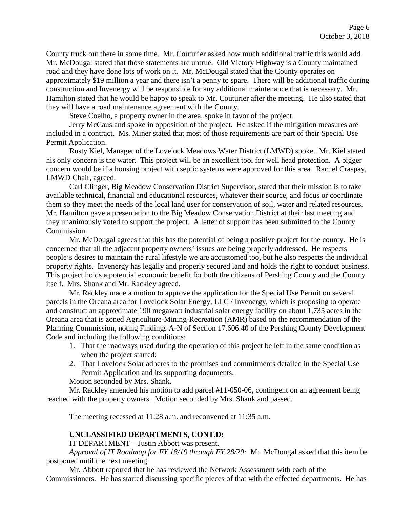County truck out there in some time. Mr. Couturier asked how much additional traffic this would add. Mr. McDougal stated that those statements are untrue. Old Victory Highway is a County maintained road and they have done lots of work on it. Mr. McDougal stated that the County operates on approximately \$19 million a year and there isn't a penny to spare. There will be additional traffic during construction and Invenergy will be responsible for any additional maintenance that is necessary. Mr. Hamilton stated that he would be happy to speak to Mr. Couturier after the meeting. He also stated that they will have a road maintenance agreement with the County.

Steve Coelho, a property owner in the area, spoke in favor of the project.

Jerry McCausland spoke in opposition of the project. He asked if the mitigation measures are included in a contract. Ms. Miner stated that most of those requirements are part of their Special Use Permit Application.

Rusty Kiel, Manager of the Lovelock Meadows Water District (LMWD) spoke. Mr. Kiel stated his only concern is the water. This project will be an excellent tool for well head protection. A bigger concern would be if a housing project with septic systems were approved for this area. Rachel Craspay, LMWD Chair, agreed.

Carl Clinger, Big Meadow Conservation District Supervisor, stated that their mission is to take available technical, financial and educational resources, whatever their source, and focus or coordinate them so they meet the needs of the local land user for conservation of soil, water and related resources. Mr. Hamilton gave a presentation to the Big Meadow Conservation District at their last meeting and they unanimously voted to support the project. A letter of support has been submitted to the County Commission.

Mr. McDougal agrees that this has the potential of being a positive project for the county. He is concerned that all the adjacent property owners' issues are being properly addressed. He respects people's desires to maintain the rural lifestyle we are accustomed too, but he also respects the individual property rights. Invenergy has legally and properly secured land and holds the right to conduct business. This project holds a potential economic benefit for both the citizens of Pershing County and the County itself. Mrs. Shank and Mr. Rackley agreed.

Mr. Rackley made a motion to approve the application for the Special Use Permit on several parcels in the Oreana area for Lovelock Solar Energy, LLC / Invenergy, which is proposing to operate and construct an approximate 190 megawatt industrial solar energy facility on about 1,735 acres in the Oreana area that is zoned Agriculture-Mining-Recreation (AMR) based on the recommendation of the Planning Commission, noting Findings A-N of Section 17.606.40 of the Pershing County Development Code and including the following conditions:

- 1. That the roadways used during the operation of this project be left in the same condition as when the project started;
- 2. That Lovelock Solar adheres to the promises and commitments detailed in the Special Use Permit Application and its supporting documents.

Motion seconded by Mrs. Shank.

Mr. Rackley amended his motion to add parcel #11-050-06, contingent on an agreement being reached with the property owners. Motion seconded by Mrs. Shank and passed.

The meeting recessed at 11:28 a.m. and reconvened at 11:35 a.m.

### **UNCLASSIFIED DEPARTMENTS, CONT.D:**

IT DEPARTMENT – Justin Abbott was present.

*Approval of IT Roadmap for FY 18/19 through FY 28/29:* Mr. McDougal asked that this item be postponed until the next meeting.

Mr. Abbott reported that he has reviewed the Network Assessment with each of the Commissioners. He has started discussing specific pieces of that with the effected departments. He has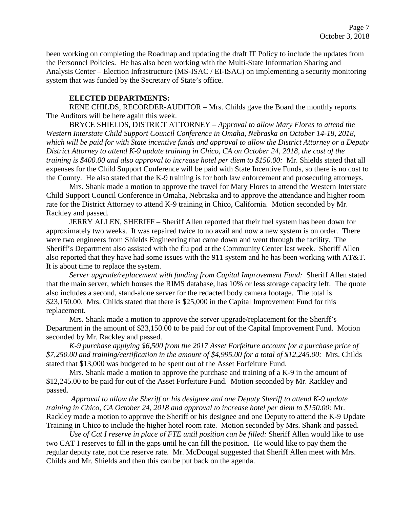been working on completing the Roadmap and updating the draft IT Policy to include the updates from the Personnel Policies. He has also been working with the Multi-State Information Sharing and Analysis Center – Election Infrastructure (MS-ISAC / EI-ISAC) on implementing a security monitoring system that was funded by the Secretary of State's office.

#### **ELECTED DEPARTMENTS:**

RENE CHILDS, RECORDER-AUDITOR – Mrs. Childs gave the Board the monthly reports. The Auditors will be here again this week.

BRYCE SHIELDS, DISTRICT ATTORNEY – *Approval to allow Mary Flores to attend the Western Interstate Child Support Council Conference in Omaha, Nebraska on October 14-18, 2018, which will be paid for with State incentive funds and approval to allow the District Attorney or a Deputy District Attorney to attend K-9 update training in Chico, CA on October 24, 2018, the cost of the training is \$400.00 and also approval to increase hotel per diem to \$150.00:* Mr. Shields stated that all expenses for the Child Support Conference will be paid with State Incentive Funds, so there is no cost to the County. He also stated that the K-9 training is for both law enforcement and prosecuting attorneys.

Mrs. Shank made a motion to approve the travel for Mary Flores to attend the Western Interstate Child Support Council Conference in Omaha, Nebraska and to approve the attendance and higher room rate for the District Attorney to attend K-9 training in Chico, California. Motion seconded by Mr. Rackley and passed.

JERRY ALLEN, SHERIFF – Sheriff Allen reported that their fuel system has been down for approximately two weeks. It was repaired twice to no avail and now a new system is on order. There were two engineers from Shields Engineering that came down and went through the facility. The Sheriff's Department also assisted with the flu pod at the Community Center last week. Sheriff Allen also reported that they have had some issues with the 911 system and he has been working with AT&T. It is about time to replace the system.

*Server upgrade/replacement with funding from Capital Improvement Fund:* Sheriff Allen stated that the main server, which houses the RIMS database, has 10% or less storage capacity left. The quote also includes a second, stand-alone server for the redacted body camera footage. The total is \$23,150.00. Mrs. Childs stated that there is \$25,000 in the Capital Improvement Fund for this replacement.

Mrs. Shank made a motion to approve the server upgrade/replacement for the Sheriff's Department in the amount of \$23,150.00 to be paid for out of the Capital Improvement Fund. Motion seconded by Mr. Rackley and passed.

*K-9 purchase applying \$6,500 from the 2017 Asset Forfeiture account for a purchase price of \$7,250.00 and training/certification in the amount of \$4,995.00 for a total of \$12,245.00:* Mrs. Childs stated that \$13,000 was budgeted to be spent out of the Asset Forfeiture Fund.

Mrs. Shank made a motion to approve the purchase and training of a K-9 in the amount of \$12,245.00 to be paid for out of the Asset Forfeiture Fund. Motion seconded by Mr. Rackley and passed.

*Approval to allow the Sheriff or his designee and one Deputy Sheriff to attend K-9 update training in Chico, CA October 24, 2018 and approval to increase hotel per diem to \$150.00:* Mr. Rackley made a motion to approve the Sheriff or his designee and one Deputy to attend the K-9 Update Training in Chico to include the higher hotel room rate. Motion seconded by Mrs. Shank and passed.

*Use of Cat I reserve in place of FTE until position can be filled:* Sheriff Allen would like to use two CAT I reserves to fill in the gaps until he can fill the position. He would like to pay them the regular deputy rate, not the reserve rate. Mr. McDougal suggested that Sheriff Allen meet with Mrs. Childs and Mr. Shields and then this can be put back on the agenda.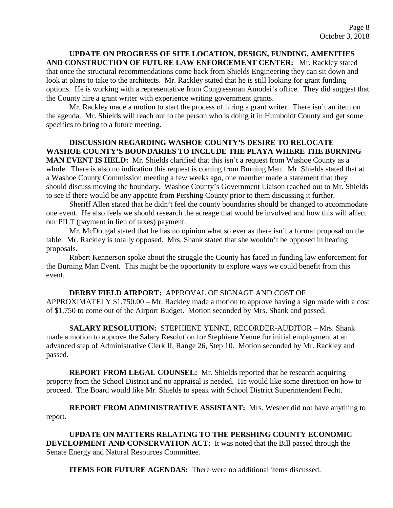**UPDATE ON PROGRESS OF SITE LOCATION, DESIGN, FUNDING, AMENITIES AND CONSTRUCTION OF FUTURE LAW ENFORCEMENT CENTER:** Mr. Rackley stated that once the structural recommendations come back from Shields Engineering they can sit down and look at plans to take to the architects. Mr. Rackley stated that he is still looking for grant funding options. He is working with a representative from Congressman Amodei's office. They did suggest that the County hire a grant writer with experience writing government grants.

Mr. Rackley made a motion to start the process of hiring a grant writer. There isn't an item on the agenda. Mr. Shields will reach out to the person who is doing it in Humboldt County and get some specifics to bring to a future meeting.

## **DISCUSSION REGARDING WASHOE COUNTY'S DESIRE TO RELOCATE WASHOE COUNTY'S BOUNDARIES TO INCLUDE THE PLAYA WHERE THE BURNING**

**MAN EVENT IS HELD:** Mr. Shields clarified that this isn't a request from Washoe County as a whole. There is also no indication this request is coming from Burning Man. Mr. Shields stated that at a Washoe County Commission meeting a few weeks ago, one member made a statement that they should discuss moving the boundary. Washoe County's Government Liaison reached out to Mr. Shields to see if there would be any appetite from Pershing County prior to them discussing it further.

Sheriff Allen stated that he didn't feel the county boundaries should be changed to accommodate one event. He also feels we should research the acreage that would be involved and how this will affect our PILT (payment in lieu of taxes) payment.

Mr. McDougal stated that he has no opinion what so ever as there isn't a formal proposal on the table. Mr. Rackley is totally opposed. Mrs. Shank stated that she wouldn't be opposed in hearing proposals.

Robert Kennerson spoke about the struggle the County has faced in funding law enforcement for the Burning Man Event. This might be the opportunity to explore ways we could benefit from this event.

**DERBY FIELD AIRPORT:** APPROVAL OF SIGNAGE AND COST OF APPROXIMATELY \$1,750.00 – Mr. Rackley made a motion to approve having a sign made with a cost of \$1,750 to come out of the Airport Budget. Motion seconded by Mrs. Shank and passed.

**SALARY RESOLUTION:** STEPHIENE YENNE, RECORDER-AUDITOR – Mrs. Shank made a motion to approve the Salary Resolution for Stephiene Yenne for initial employment at an advanced step of Administrative Clerk II, Range 26, Step 10. Motion seconded by Mr. Rackley and passed.

**REPORT FROM LEGAL COUNSEL:** Mr. Shields reported that he research acquiring property from the School District and no appraisal is needed. He would like some direction on how to proceed. The Board would like Mr. Shields to speak with School District Superintendent Fecht.

**REPORT FROM ADMINISTRATIVE ASSISTANT:** Mrs. Wesner did not have anything to report.

**UPDATE ON MATTERS RELATING TO THE PERSHING COUNTY ECONOMIC DEVELOPMENT AND CONSERVATION ACT:** It was noted that the Bill passed through the Senate Energy and Natural Resources Committee.

**ITEMS FOR FUTURE AGENDAS:** There were no additional items discussed.